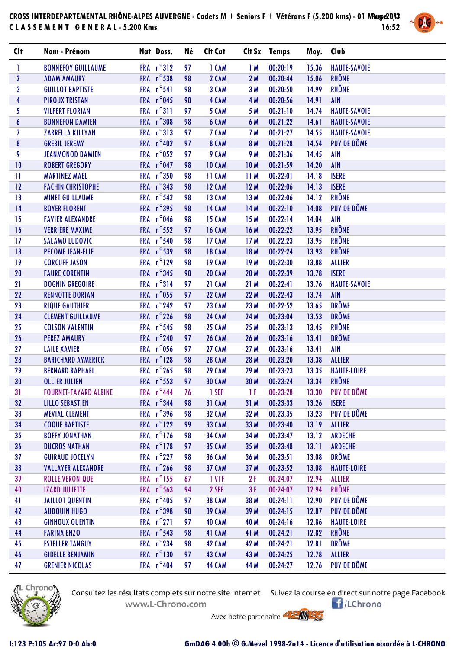## **CROSS INTERDEPARTEMENTAL RHÔNE-ALPES AUVERGNE - Cadets M + Seniors F + Vétérans F (5.200 kms) - 01 Mars 2014 Page 1/3 C L A S S E M E N T G E N E R A L - 5.200 Kms 16:52**



| <b>Clt</b>       | Nom - Prénom                 | Nat Doss.           | Né | Clt Cat       |                 | Clt Sx Temps | Moy. Club |                     |
|------------------|------------------------------|---------------------|----|---------------|-----------------|--------------|-----------|---------------------|
| T                | <b>BONNEFOY GUILLAUME</b>    | FRA n°312           | 97 | 1 CAM         | 1M              | 00:20:19     | 15.36     | <b>HAUTE-SAVOIE</b> |
| $\mathbf{2}$     | <b>ADAM AMAURY</b>           | FRA n°538           | 98 | 2 CAM         | 2M              | 00:20:44     | 15.06     | <b>RHÔNE</b>        |
| 3                | <b>GUILLOT BAPTISTE</b>      | FRA n°541           | 98 | 3 CAM         | 3M              | 00:20:50     | 14.99     | RHÔNE               |
| 4                | <b>PIROUX TRISTAN</b>        | FRA n°045           | 98 | 4 CAM         | 4 M             | 00:20:56     | 14.91     | <b>AIN</b>          |
| 5                | <b>VILPERT FLORIAN</b>       | FRA n°311           | 97 | 5 CAM         | 5 M             | 00:21:10     | 14.74     | <b>HAUTE-SAVOIE</b> |
| $\boldsymbol{6}$ | <b>BONNEFON DAMIEN</b>       | FRA n°308           | 98 | 6 CAM         | 6 M             | 00:21:22     | 14.61     | <b>HAUTE-SAVOIE</b> |
| 7                | <b>ZARRELLA KILLYAN</b>      | FRA n°313           | 97 | 7 CAM         | 7 M             | 00:21:27     | 14.55     | <b>HAUTE-SAVOIE</b> |
| $\bf{8}$         | <b>GREBIL JEREMY</b>         | FRA $n^{\circ}402$  | 97 | 8 CAM         | 8 M             | 00:21:28     | 14.54     | PUY DE DÔME         |
| 9                | <b>JEANMONOD DAMIEN</b>      | FRA n°052           | 97 | 9 CAM         | 9 M             | 00:21:36     | 14.45     | <b>AIN</b>          |
| 10               | <b>ROBERT GREGORY</b>        | FRA n°047           | 98 | <b>10 CAM</b> | 10 <sub>M</sub> | 00:21:59     | 14.20     | <b>AIN</b>          |
| $\mathbf{H}$     | <b>MARTINEZ MAEL</b>         | FRA n°350           | 98 | <b>11 CAM</b> | 11M             | 00:22:01     | 14.18     | <b>ISERE</b>        |
| 12               | <b>FACHIN CHRISTOPHE</b>     | FRA $n^{\circ}343$  | 98 | <b>12 CAM</b> | 12M             | 00:22:06     | 14.13     | <b>ISERE</b>        |
| 13               | <b>MINET GUILLAUME</b>       | FRA $n^{\circ}$ 542 | 98 | <b>13 CAM</b> | 13M             | 00:22:06     | 14.12     | <b>RHÔNE</b>        |
| 14               | <b>BOYER FLORENT</b>         | FRA $n^{\circ}395$  | 98 | <b>14 CAM</b> | 14M             | 00:22:10     | 14.08     | PUY DE DÔME         |
| 15               | <b>FAVIER ALEXANDRE</b>      | FRA n°046           | 98 | <b>15 CAM</b> | 15M             | 00:22:14     | 14.04     | <b>AIN</b>          |
| 16               | <b>VERRIERE MAXIME</b>       | FRA $n^{\circ}$ 552 | 97 | <b>16 CAM</b> | 16 M            | 00:22:22     | 13.95     | <b>RHÔNE</b>        |
| 17               | <b>SALAMO LUDOVIC</b>        | FRA n°540           | 98 | <b>17 CAM</b> | 17M             | 00:22:23     | 13.95     | RHÔNE               |
| 18               | <b>PECOME JEAN-ELIE</b>      | FRA n°539           | 98 | <b>18 CAM</b> | 18 M            | 00:22:24     | 13.93     | <b>RHÔNE</b>        |
| 19               | <b>CORCUFF JASON</b>         | FRA n°129           | 98 | <b>19 CAM</b> | 19M             | 00:22:30     | 13.88     | <b>ALLIER</b>       |
| 20               | <b>FAURE CORENTIN</b>        | FRA $n^{\circ}345$  | 98 | <b>20 CAM</b> | <b>20 M</b>     | 00:22:39     | 13.78     | <b>ISERE</b>        |
| 21               | <b>DOGNIN GREGOIRE</b>       | FRA n°314           | 97 | 21 CAM        | 21M             | 00:22:41     | 13.76     | <b>HAUTE-SAVOIE</b> |
| 22               | <b>RENNOTTE DORIAN</b>       | FRA n°055           | 97 | <b>22 CAM</b> | 22 M            | 00:22:43     | 13.74     | <b>AIN</b>          |
| 23               | <b>RIQUE GAUTHIER</b>        | FRA $n^{\circ}$ 242 | 97 | <b>23 CAM</b> | 23 M            | 00:22:52     | 13.65     | <b>DRÔME</b>        |
| 24               | <b>CLEMENT GUILLAUME</b>     | FRA n°226           | 98 | <b>24 CAM</b> | 24 M            | 00:23:04     | 13.53     | <b>DRÔME</b>        |
| 25               | <b>COLSON VALENTIN</b>       | FRA $n^{\circ}$ 545 | 98 | <b>25 CAM</b> | 25 M            | 00:23:13     | 13.45     | RHÔNE               |
| 26               | <b>PEREZ AMAURY</b>          | FRA $n^{\circ}$ 240 | 97 | <b>26 CAM</b> | 26 M            | 00:23:16     | 13.41     | <b>DRÔME</b>        |
| 27               | <b>LAILE XAVIER</b>          | FRA n°056           | 97 | <b>27 CAM</b> | 27 M            | 00:23:16     | 13.41     | <b>AIN</b>          |
| 28               | <b>BARICHARD AYMERICK</b>    | FRA n°128           | 98 | <b>28 CAM</b> | 28 M            | 00:23:20     | 13.38     | <b>ALLIER</b>       |
| 29               | <b>BERNARD RAPHAEL</b>       | FRA $n^{\circ}$ 265 | 98 | <b>29 CAM</b> | 29 M            | 00:23:23     | 13.35     | <b>HAUTE-LOIRE</b>  |
| 30               | <b>OLLIER JULIEN</b>         | FRA n°553           | 97 | <b>30 CAM</b> | 30 M            | 00:23:24     | 13.34     | RHÔNE               |
| 31               | <b>FOURNET-FAYARD ALBINE</b> | FRA n°444           | 76 | 1 SEF         | 1 F             | 00:23:28     | 13.30     | PUY DE DÔME         |
| 32               | <b>LILLO SEBASTIEN</b>       | FRA n°344           | 98 | 31 CAM        | 31 M            | 00:23:33     | 13.26     | <b>ISERE</b>        |
| 33               | <b>MEVIAL CLEMENT</b>        | FRA $n^{\circ}$ 396 | 98 | <b>32 CAM</b> | 32 M            | 00:23:35     | 13.23     | <b>PUY DE DÔME</b>  |
| 34               | <b>COQUE BAPTISTE</b>        | FRA n°122           | 99 | <b>33 CAM</b> | 33 M            | 00:23:40     | 13.19     | <b>ALLIER</b>       |
| 35               | <b>BOFFY JONATHAN</b>        | FRA n°176           | 98 | <b>34 CAM</b> | 34 M            | 00:23:47     | 13.12     | <b>ARDECHE</b>      |
| 36               | <b>DUCROS NATHAN</b>         | FRA n°178           | 97 | <b>35 CAM</b> | 35 M            | 00:23:48     | 13.11     | <b>ARDECHE</b>      |
| 37               | <b>GUIRAUD JOCELYN</b>       | FRA n°227           | 98 | <b>36 CAM</b> | 36 M            | 00:23:51     | 13.08     | <b>DRÔME</b>        |
| 38               | <b>VALLAYER ALEXANDRE</b>    | FRA $n^{\circ}$ 266 | 98 | <b>37 CAM</b> | 37 M            | 00:23:52     | 13.08     | <b>HAUTE-LOIRE</b>  |
| 39               | <b>ROLLE VERONIQUE</b>       | FRA n°155           | 67 | 1 VIF         | 2F              | 00:24:07     | 12.94     | <b>ALLIER</b>       |
| 40               | <b>IZARD JULIETTE</b>        | FRA n°563           | 94 | 2 SEF         | 3F              | 00:24:07     | 12.94     | <b>RHÔNE</b>        |
| 41               | <b>JAILLOT QUENTIN</b>       | FRA n°405           | 97 | <b>38 CAM</b> | 38 M            | 00:24:11     | 12.90     | PUY DE DÔME         |
| 42               | <b>AUDOUIN HUGO</b>          | FRA $n^{\circ}$ 398 | 98 | <b>39 CAM</b> | 39 M            | 00:24:15     | 12.87     | PUY DE DÔME         |
| 43               | <b>GINHOUX QUENTIN</b>       | FRA n°271           | 97 | <b>40 CAM</b> | 40 M            | 00:24:16     | 12.86     | <b>HAUTE-LOIRE</b>  |
| 44               | <b>FARINA ENZO</b>           | FRA $n^{\circ}$ 543 | 98 | 41 CAM        | 41 M            | 00:24:21     | 12.82     | RHÔNE               |
| 45               | <b>ESTELLER TANGUY</b>       | FRA n°234           | 98 | <b>42 CAM</b> | 42 M            | 00:24:21     | 12.81     | <b>DRÔME</b>        |
| 46               | <b>GIDELLE BENJAMIN</b>      | FRA n°130           | 97 | <b>43 CAM</b> | 43 M            | 00:24:25     | 12.78     | <b>ALLIER</b>       |
| 47               | <b>GRENIER NICOLAS</b>       | FRA n°404           | 97 | <b>44 CAM</b> | 44 M            | 00:24:27     | 12.76     | PUY DE DÔME         |
|                  |                              |                     |    |               |                 |              |           |                     |



Consultez les résultats complets sur notre site Internet Suivez la course en direct sur notre page Facebook www.L-Chrono.com

 $\bigcap$ /LChrono

Avec notre partenaire **AMMED**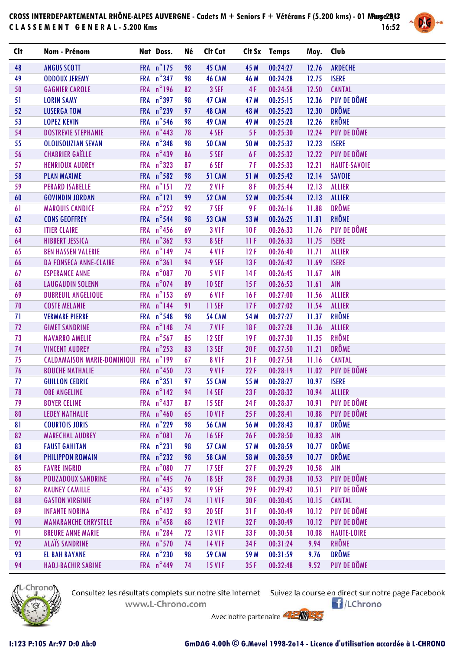## **CROSS INTERDEPARTEMENTAL RHÔNE-ALPES AUVERGNE - Cadets M + Seniors F + Vétérans F (5.200 kms) - 01 Mars 2014 Page 2/3 C L A S S E M E N T G E N E R A L - 5.200 Kms 16:52**



| <b>Clt</b> | Nom - Prénom                       | Nat Doss.           | Né | Clt Cat           |      | Clt Sx Temps | Moy. Club |                     |
|------------|------------------------------------|---------------------|----|-------------------|------|--------------|-----------|---------------------|
| 48         | <b>ANGUS SCOTT</b>                 | FRA n°175           | 98 | <b>45 CAM</b>     | 45 M | 00:24:27     | 12.76     | <b>ARDECHE</b>      |
| 49         | <b>ODDOUX JEREMY</b>               | FRA n°347           | 98 | <b>46 CAM</b>     | 46 M | 00:24:28     | 12.75     | <b>ISERE</b>        |
| 50         | <b>GAGNIER CAROLE</b>              | FRA n°196           | 82 | 3 SEF             | 4F   | 00:24:58     | 12.50     | <b>CANTAL</b>       |
| 51         | <b>LORIN SAMY</b>                  | FRA n°397           | 98 | <b>47 CAM</b>     | 47 M | 00:25:15     | 12.36     | PUY DE DÔME         |
| 52         | <b>LUSERGA TOM</b>                 | FRA n°239           | 97 | 48 CAM            | 48 M | 00:25:23     | 12.30     | <b>DRÔME</b>        |
| 53         | <b>LOPEZ KEVIN</b>                 | FRA n°546           | 98 | <b>49 CAM</b>     | 49 M | 00:25:28     | 12.26     | <b>RHÔNE</b>        |
| 54         | <b>DOSTREVIE STEPHANIE</b>         | FRA $n^{\circ}$ 443 | 78 | 4 SEF             | 5F   | 00:25:30     | 12.24     | PUY DE DÔME         |
| 55         | OLOUSOUZIAN SEVAN                  | FRA n°348           | 98 | <b>50 CAM</b>     | 50 M | 00:25:32     | 12.23     | <b>ISERE</b>        |
| 56         | <b>CHABRIER GAËLLE</b>             | FRA $n^{\circ}$ 439 | 86 | 5 SEF             | 6 F  | 00:25:32     | 12.22     | PUY DE DÔME         |
| 57         | <b>HENRIOUX AUDREY</b>             | FRA n°323           | 87 | 6 SEF             | 7 F  | 00:25:33     | 12.21     | <b>HAUTE-SAVOIE</b> |
| 58         | <b>PLAN MAXIME</b>                 | FRA n°582           | 98 | <b>51 CAM</b>     | 51 M | 00:25:42     | 12.14     | <b>SAVOIE</b>       |
| 59         | <b>PERARD ISABELLE</b>             | FRA n°151           | 72 | <b>2 V1F</b>      | 8F   | 00:25:44     | 12.13     | <b>ALLIER</b>       |
| 60         | <b>GOVINDIN JORDAN</b>             | FRA n°121           | 99 | <b>52 CAM</b>     | 52 M | 00:25:44     | 12.13     | <b>ALLIER</b>       |
| 61         | <b>MARQUIS CANDICE</b>             | FRA n°252           | 92 | 7 SEF             | 9 F  | 00:26:16     | 11.88     | <b>DRÔME</b>        |
| 62         | <b>CONS GEOFFREY</b>               | FRA n°544           | 98 | <b>53 CAM</b>     | 53 M | 00:26:25     | 11.81     | <b>RHÔNE</b>        |
| 63         | <b>ITIER CLAIRE</b>                | FRA n°456           | 69 | <b>3 V1F</b>      | 10F  | 00:26:33     | 11.76     | <b>PUY DE DÔME</b>  |
| 64         | <b>HIBBERT JESSICA</b>             | FRA n°362           | 93 | 8 SEF             | 11F  | 00:26:33     | 11.75     | <b>ISERE</b>        |
| 65         | <b>BEN HASSEN VALERIE</b>          | FRA n°149           | 74 | 4 V <sub>IF</sub> | 12F  | 00:26:40     | 11.71     | <b>ALLIER</b>       |
| 66         | <b>DA FONSECA ANNE-CLAIRE</b>      | FRA n°361           | 94 | 9 SEF             | 13F  | 00:26:42     | 11.69     | <b>ISERE</b>        |
| 67         | <b>ESPERANCE ANNE</b>              | FRA n°087           | 70 | <b>5 V1F</b>      | 14F  | 00:26:45     | 11.67     | <b>AIN</b>          |
| 68         | <b>LAUGAUDIN SOLENN</b>            | FRA n°074           | 89 | <b>10 SEF</b>     | 15F  | 00:26:53     | 11.61     | <b>AIN</b>          |
| 69         | <b>DUBREUIL ANGELIQUE</b>          | FRA n°153           | 69 | 6 VIF             | 16F  | 00:27:00     | 11.56     | <b>ALLIER</b>       |
| 70         | <b>COSTE MELANIE</b>               | FRA n°144           | 91 | 11 SEF            | 17F  | 00:27:02     | 11.54     | <b>ALLIER</b>       |
| 71         | <b>VERMARE PIERRE</b>              | FRA n°548           | 98 | <b>54 CAM</b>     | 54 M | 00:27:27     | 11.37     | <b>RHÔNE</b>        |
| 72         | <b>GIMET SANDRINE</b>              | FRA n°148           | 74 | 7 VIF             | 18F  | 00:27:28     | 11.36     | <b>ALLIER</b>       |
| 73         | <b>NAVARRO AMELIE</b>              | FRA n°567           | 85 | <b>12 SEF</b>     | 19F  | 00:27:30     | 11.35     | <b>RHÔNE</b>        |
| 74         | <b>VINCENT AUDREY</b>              | FRA n°253           | 83 | <b>13 SEF</b>     | 20F  | 00:27:50     | 11.21     | <b>DRÔME</b>        |
| 75         | <b>CALDAMAISON MARIE-DOMINIQUI</b> | FRA n°199           | 67 | <b>8 V1F</b>      | 21F  | 00:27:58     | 11.16     | <b>CANTAL</b>       |
| 76         | <b>BOUCHE NATHALIE</b>             | FRA n°450           | 73 | 9 VIF             | 22F  | 00:28:19     | 11.02     | PUY DE DÔME         |
| 77         | <b>GUILLON CEDRIC</b>              | FRA n°351           | 97 | <b>55 CAM</b>     | 55 M | 00:28:27     | 10.97     | <b>ISERE</b>        |
| 78         | <b>OBE ANGELINE</b>                | FRA $n^{\circ}$ 142 | 94 | <b>14 SEF</b>     | 23F  | 00:28:32     | 10.94     | <b>ALLIER</b>       |
| 79         | <b>BOYER CELINE</b>                | FRA $n^{\circ}$ 437 | 87 | <b>15 SEF</b>     | 24F  | 00:28:37     | 10.91     | PUY DE DÔME         |
| 80         | <b>LEDEY NATHALIE</b>              | FRA n°460           | 65 | <b>10 V1F</b>     | 25F  | 00:28:41     | 10.88     | PUY DE DÔME         |
| 81         | <b>COURTOIS JORIS</b>              | FRA n°229           | 98 | <b>56 CAM</b>     | 56 M | 00:28:43     | 10.87     | <b>DRÔME</b>        |
| 82         | <b>MARECHAL AUDREY</b>             | FRA n°081           | 76 | <b>16 SEF</b>     | 26F  | 00:28:50     | 10.83     | <b>AIN</b>          |
| 83         | <b>FAUST GAHITAN</b>               | FRA n°231           | 98 | <b>57 CAM</b>     | 57 M | 00:28:59     | 10.77     | <b>DRÔME</b>        |
| 84         | <b>PHILIPPON ROMAIN</b>            | FRA $n^{\circ}$ 232 | 98 | <b>58 CAM</b>     | 58 M | 00:28:59     | 10.77     | <b>DRÔME</b>        |
| 85         | <b>FAVRE INGRID</b>                | FRA n°080           | 77 | <b>17 SEF</b>     | 27F  | 00:29:29     | 10.58     | <b>AIN</b>          |
| 86         | <b>POUZADOUX SANDRINE</b>          | FRA $n^{\circ}$ 445 | 76 | <b>18 SEF</b>     | 28F  | 00:29:38     | 10.53     | PUY DE DÔME         |
| 87         | <b>RAUNEY CAMILLE</b>              | FRA n°435           | 92 | <b>19 SEF</b>     | 29F  | 00:29:42     | 10.51     | PUY DE DÔME         |
| 88         | <b>GASTON VIRGINIE</b>             | FRA n°197           | 74 | 11 VIF            | 30F  | 00:30:45     | 10.15     | <b>CANTAL</b>       |
| 89         | <b>INFANTE NORINA</b>              | FRA $n^{\circ}$ 432 | 93 | <b>20 SEF</b>     | 31F  | 00:30:49     | 10.12     | PUY DE DÔME         |
| 90         | <b>MANARANCHE CHRYSTELE</b>        | FRA $n^{\circ}$ 458 | 68 | <b>12 V1F</b>     | 32F  | 00:30:49     | 10.12     | PUY DE DÔME         |
| 91         | <b>BREURE ANNE MARIE</b>           | FRA n°284           | 72 | <b>13 V1F</b>     | 33F  | 00:30:58     | 10.08     | <b>HAUTE-LOIRE</b>  |
| 92         | <b>ALAÏS SANDRINE</b>              | FRA n°570           | 74 | <b>14 V1F</b>     | 34F  | 00:31:24     | 9.94      | <b>RHÔNE</b>        |
| 93         | <b>EL BAH RAYANE</b>               | FRA n°230           | 98 | <b>59 CAM</b>     | 59 M | 00:31:59     | 9.76      | <b>DRÔME</b>        |
| 94         | <b>HADJ-BACHIR SABINE</b>          | FRA $n^{\circ}$ 449 | 74 | <b>15 V1F</b>     | 35F  | 00:32:48     | 9.52      | PUY DE DÔME         |



Consultez les résultats complets sur notre site Internet Suivez la course en direct sur notre page Facebook www.L-Chrono.com

 $\bigcap$ /LChrono

Avec notre partenaire **AMMED**